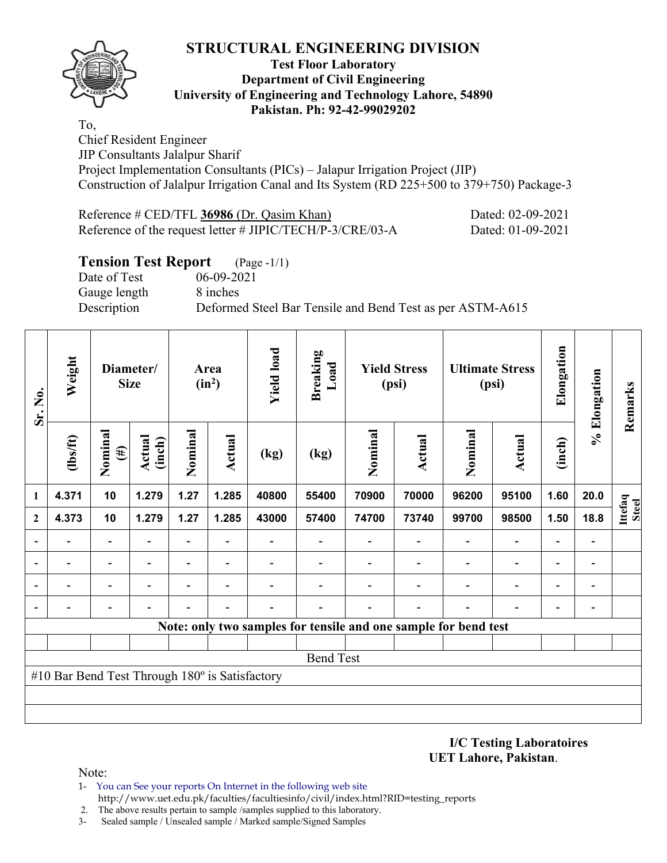

#### **Test Floor Laboratory Department of Civil Engineering University of Engineering and Technology Lahore, 54890 Pakistan. Ph: 92-42-99029202**

To, Chief Resident Engineer JIP Consultants Jalalpur Sharif Project Implementation Consultants (PICs) – Jalapur Irrigation Project (JIP) Construction of Jalalpur Irrigation Canal and Its System (RD 225+500 to 379+750) Package-3

| Reference # CED/TFL 36986 (Dr. Qasim Khan)                | Dated: 02-09-2021 |
|-----------------------------------------------------------|-------------------|
| Reference of the request letter # JIPIC/TECH/P-3/CRE/03-A | Dated: 01-09-2021 |

### **Tension Test Report** (Page -1/1)

Date of Test 06-09-2021 Gauge length 8 inches

Description Deformed Steel Bar Tensile and Bend Test as per ASTM-A615

| Sr. No.      | Weight                                         |                   | Diameter/<br><b>Size</b> |                          | Area<br>$(in^2)$ | <b>Yield load</b> | <b>Breaking</b><br>Load |         | <b>Yield Stress</b><br>(psi)                                    |         | <b>Ultimate Stress</b><br>(psi) |                          | % Elongation   | Remarks          |
|--------------|------------------------------------------------|-------------------|--------------------------|--------------------------|------------------|-------------------|-------------------------|---------|-----------------------------------------------------------------|---------|---------------------------------|--------------------------|----------------|------------------|
|              | (lbs/ft)                                       | Nominal<br>$(\#)$ | Actual<br>(inch)         | Nominal                  | Actual           | (kg)              | (kg)                    | Nominal | Actual                                                          | Nominal | Actual                          | (inch)                   |                |                  |
| 1            | 4.371                                          | 10                | 1.279                    | 1.27                     | 1.285            | 40800             | 55400                   | 70900   | 70000                                                           | 96200   | 95100                           | 1.60                     | 20.0           |                  |
| $\mathbf{2}$ | 4.373                                          | 10                | 1.279                    | 1.27                     | 1.285            | 43000             | 57400                   | 74700   | 73740                                                           | 99700   | 98500                           | 1.50                     | 18.8           | Ittefaq<br>Steel |
|              |                                                |                   |                          | $\overline{\phantom{0}}$ |                  |                   |                         |         |                                                                 |         | $\blacksquare$                  |                          |                |                  |
|              |                                                |                   |                          | $\qquad \qquad -$        |                  |                   |                         |         |                                                                 |         | $\overline{a}$                  | $\overline{\phantom{0}}$ | -              |                  |
|              |                                                |                   |                          |                          |                  |                   |                         |         |                                                                 |         | $\overline{\phantom{0}}$        |                          | -              |                  |
|              |                                                |                   |                          |                          |                  |                   |                         |         |                                                                 |         |                                 |                          | $\overline{a}$ |                  |
|              |                                                |                   |                          |                          |                  |                   |                         |         | Note: only two samples for tensile and one sample for bend test |         |                                 |                          |                |                  |
|              |                                                |                   |                          |                          |                  |                   |                         |         |                                                                 |         |                                 |                          |                |                  |
|              |                                                |                   |                          |                          |                  |                   | <b>Bend Test</b>        |         |                                                                 |         |                                 |                          |                |                  |
|              | #10 Bar Bend Test Through 180° is Satisfactory |                   |                          |                          |                  |                   |                         |         |                                                                 |         |                                 |                          |                |                  |
|              |                                                |                   |                          |                          |                  |                   |                         |         |                                                                 |         |                                 |                          |                |                  |
|              |                                                |                   |                          |                          |                  |                   |                         |         |                                                                 |         |                                 |                          |                |                  |

**I/C Testing Laboratoires UET Lahore, Pakistan**.

- 1- You can See your reports On Internet in the following web site http://www.uet.edu.pk/faculties/facultiesinfo/civil/index.html?RID=testing\_reports
- 2. The above results pertain to sample /samples supplied to this laboratory.
- 3- Sealed sample / Unsealed sample / Marked sample/Signed Samples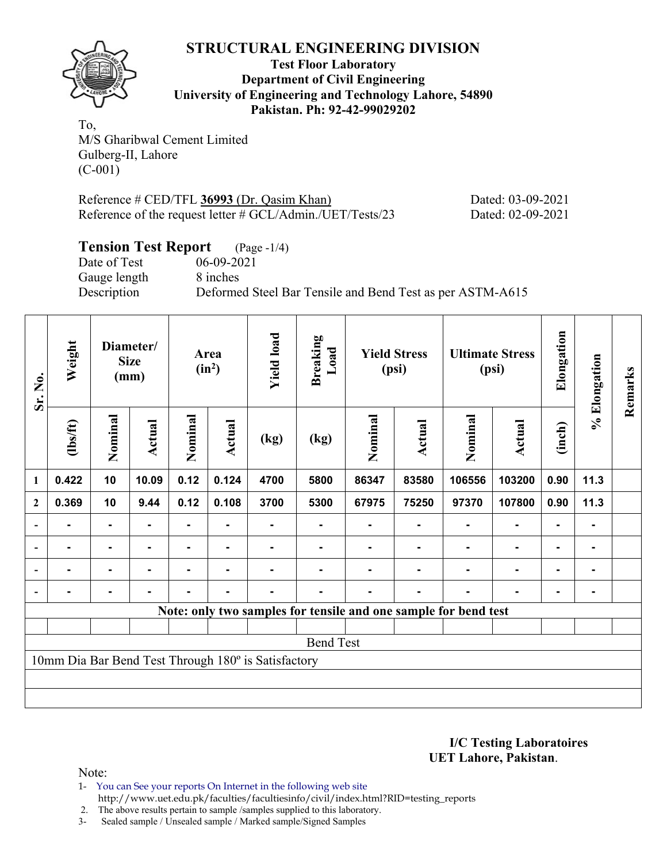

**Test Floor Laboratory Department of Civil Engineering University of Engineering and Technology Lahore, 54890 Pakistan. Ph: 92-42-99029202** 

To, M/S Gharibwal Cement Limited Gulberg-II, Lahore (C-001)

Reference # CED/TFL **36993** (Dr. Qasim Khan) Dated: 03-09-2021 Reference of the request letter # GCL/Admin./UET/Tests/23 Dated: 02-09-2021

# **Tension Test Report** (Page -1/4)

Date of Test 06-09-2021 Gauge length 8 inches

Description Deformed Steel Bar Tensile and Bend Test as per ASTM-A615

| Sr. No.          | Weight         |                | Diameter/<br><b>Size</b><br>(mm) |         | Area<br>$(in^2)$ | <b>Yield load</b>                                   | <b>Breaking</b><br>Load                                         |         | <b>Yield Stress</b><br>(psi) |         | <b>Ultimate Stress</b><br>(psi) | Elongation     | % Elongation | Remarks |
|------------------|----------------|----------------|----------------------------------|---------|------------------|-----------------------------------------------------|-----------------------------------------------------------------|---------|------------------------------|---------|---------------------------------|----------------|--------------|---------|
|                  | (1bs/ft)       | Nominal        | <b>Actual</b>                    | Nominal | Actual           | (kg)                                                | (kg)                                                            | Nominal | Actual                       | Nominal | <b>Actual</b>                   | (inch)         |              |         |
| $\mathbf{1}$     | 0.422          | 10             | 10.09                            | 0.12    | 0.124            | 4700                                                | 5800                                                            | 86347   | 83580                        | 106556  | 103200                          | 0.90           | 11.3         |         |
| $\boldsymbol{2}$ | 0.369          | 10             | 9.44                             | 0.12    | 0.108            | 3700                                                | 5300                                                            | 67975   | 75250                        | 97370   | 107800                          | 0.90           | 11.3         |         |
| $\blacksquare$   |                | ۰              |                                  |         |                  |                                                     |                                                                 |         |                              |         |                                 | ۰              |              |         |
|                  | $\blacksquare$ | ۰              | ۰                                |         |                  |                                                     |                                                                 |         |                              |         | ۰                               | $\blacksquare$ |              |         |
|                  | $\blacksquare$ | $\blacksquare$ | $\blacksquare$                   | ٠       | $\blacksquare$   |                                                     |                                                                 |         |                              |         | $\blacksquare$                  | $\blacksquare$ |              |         |
|                  |                | ۰              |                                  |         |                  |                                                     |                                                                 |         |                              |         |                                 |                |              |         |
|                  |                |                |                                  |         |                  |                                                     | Note: only two samples for tensile and one sample for bend test |         |                              |         |                                 |                |              |         |
|                  |                |                |                                  |         |                  |                                                     |                                                                 |         |                              |         |                                 |                |              |         |
|                  |                |                |                                  |         |                  |                                                     | <b>Bend Test</b>                                                |         |                              |         |                                 |                |              |         |
|                  |                |                |                                  |         |                  | 10mm Dia Bar Bend Test Through 180° is Satisfactory |                                                                 |         |                              |         |                                 |                |              |         |
|                  |                |                |                                  |         |                  |                                                     |                                                                 |         |                              |         |                                 |                |              |         |
|                  |                |                |                                  |         |                  |                                                     |                                                                 |         |                              |         |                                 |                |              |         |

**I/C Testing Laboratoires UET Lahore, Pakistan**.

- 1- You can See your reports On Internet in the following web site http://www.uet.edu.pk/faculties/facultiesinfo/civil/index.html?RID=testing\_reports
- 2. The above results pertain to sample /samples supplied to this laboratory.
- 3- Sealed sample / Unsealed sample / Marked sample/Signed Samples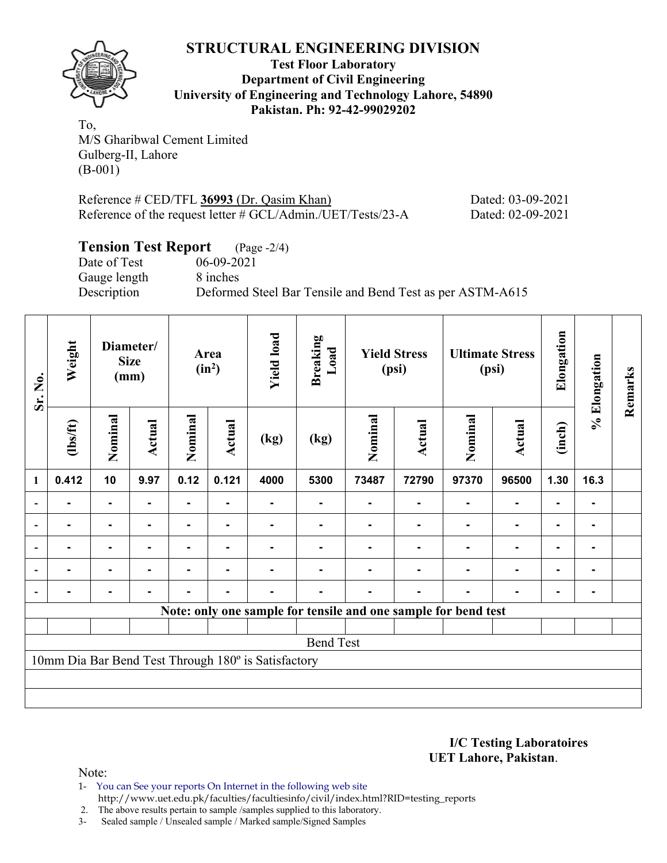

**Test Floor Laboratory Department of Civil Engineering University of Engineering and Technology Lahore, 54890 Pakistan. Ph: 92-42-99029202** 

To, M/S Gharibwal Cement Limited Gulberg-II, Lahore (B-001)

| Reference $\#$ CED/TFL 36993 (Dr. Qasim Khan)                  | Dated: 03-09-2021 |
|----------------------------------------------------------------|-------------------|
| Reference of the request letter $\#$ GCL/Admin./UET/Tests/23-A | Dated: 02-09-2021 |

# **Tension Test Report** (Page -2/4)<br>Date of Test 06-09-2021

Gauge length 8 inches

 $06-09-2021$ Description Deformed Steel Bar Tensile and Bend Test as per ASTM-A615

| Sr. No.      | Weight         |                | Diameter/<br><b>Size</b><br>(mm) |         | Area<br>$(in^2)$ | <b>Yield load</b>                                   | <b>Breaking</b><br>Load |         | <b>Yield Stress</b><br>(psi)                                   | <b>Ultimate Stress</b><br>(psi) |                | Elongation     | % Elongation | Remarks |
|--------------|----------------|----------------|----------------------------------|---------|------------------|-----------------------------------------------------|-------------------------|---------|----------------------------------------------------------------|---------------------------------|----------------|----------------|--------------|---------|
|              | (1bs/ft)       | Nominal        | Actual                           | Nominal | Actual           | (kg)                                                | (kg)                    | Nominal | Actual                                                         | Nominal                         | <b>Actual</b>  | (inch)         |              |         |
| $\mathbf{1}$ | 0.412          | 10             | 9.97                             | 0.12    | 0.121            | 4000                                                | 5300                    | 73487   | 72790                                                          | 97370                           | 96500          | 1.30           | 16.3         |         |
|              |                |                |                                  |         |                  |                                                     |                         |         |                                                                |                                 | $\blacksquare$ |                |              |         |
|              |                | $\blacksquare$ |                                  |         |                  |                                                     |                         |         |                                                                |                                 | $\blacksquare$ | $\blacksquare$ |              |         |
|              |                | $\blacksquare$ |                                  |         | $\blacksquare$   |                                                     |                         |         |                                                                |                                 | $\blacksquare$ | $\blacksquare$ |              |         |
|              | $\blacksquare$ | $\blacksquare$ |                                  | ۰       | $\blacksquare$   |                                                     |                         |         |                                                                |                                 | $\blacksquare$ | ۰              |              |         |
|              |                |                |                                  |         |                  |                                                     |                         |         |                                                                |                                 |                |                |              |         |
|              |                |                |                                  |         |                  |                                                     |                         |         | Note: only one sample for tensile and one sample for bend test |                                 |                |                |              |         |
|              |                |                |                                  |         |                  |                                                     |                         |         |                                                                |                                 |                |                |              |         |
|              |                |                |                                  |         |                  |                                                     | <b>Bend Test</b>        |         |                                                                |                                 |                |                |              |         |
|              |                |                |                                  |         |                  | 10mm Dia Bar Bend Test Through 180° is Satisfactory |                         |         |                                                                |                                 |                |                |              |         |
|              |                |                |                                  |         |                  |                                                     |                         |         |                                                                |                                 |                |                |              |         |
|              |                |                |                                  |         |                  |                                                     |                         |         |                                                                |                                 |                |                |              |         |

**I/C Testing Laboratoires UET Lahore, Pakistan**.

Note:

1- You can See your reports On Internet in the following web site http://www.uet.edu.pk/faculties/facultiesinfo/civil/index.html?RID=testing\_reports

2. The above results pertain to sample /samples supplied to this laboratory.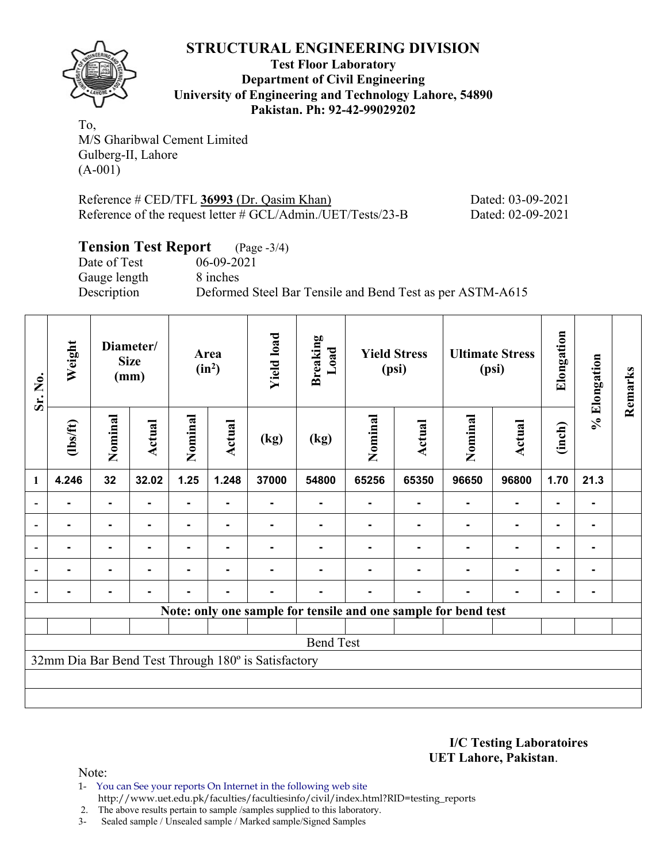

**Test Floor Laboratory Department of Civil Engineering University of Engineering and Technology Lahore, 54890 Pakistan. Ph: 92-42-99029202** 

To, M/S Gharibwal Cement Limited Gulberg-II, Lahore (A-001)

Reference # CED/TFL **36993** (Dr. Qasim Khan) Dated: 03-09-2021 Reference of the request letter # GCL/Admin./UET/Tests/23-B Dated: 02-09-2021

# **Tension Test Report** (Page -3/4)

Date of Test 06-09-2021 Gauge length 8 inches

Description Deformed Steel Bar Tensile and Bend Test as per ASTM-A615

| Weight<br>Sr. No. |                |                | Diameter/<br><b>Size</b><br>(mm) | Area<br>$(in^2)$ |                | <b>Yield load</b>                                   | <b>Breaking</b><br>Load                                        | <b>Yield Stress</b><br>(psi) |        | <b>Ultimate Stress</b><br>(psi) |                | Elongation     | % Elongation   | Remarks |
|-------------------|----------------|----------------|----------------------------------|------------------|----------------|-----------------------------------------------------|----------------------------------------------------------------|------------------------------|--------|---------------------------------|----------------|----------------|----------------|---------|
|                   | (1bs/ft)       | Nominal        | Actual                           | Nominal          | Actual         | (kg)                                                | (kg)                                                           | Nominal                      | Actual | Nominal                         | Actual         | (inch)         |                |         |
| 1                 | 4.246          | 32             | 32.02                            | 1.25             | 1.248          | 37000                                               | 54800                                                          | 65256                        | 65350  | 96650                           | 96800          | 1.70           | 21.3           |         |
|                   |                | $\blacksquare$ |                                  | ۰                |                |                                                     |                                                                |                              |        |                                 | $\blacksquare$ | $\blacksquare$ | $\blacksquare$ |         |
| $\blacksquare$    |                | $\blacksquare$ |                                  |                  |                |                                                     |                                                                |                              |        |                                 | ۰              | ۰              | ۰              |         |
| $\blacksquare$    | $\blacksquare$ | $\blacksquare$ | $\blacksquare$                   |                  | $\blacksquare$ |                                                     |                                                                |                              |        | $\blacksquare$                  | $\blacksquare$ | ۰              | -              |         |
|                   | ۰              | $\blacksquare$ | $\blacksquare$                   | $\blacksquare$   | $\blacksquare$ |                                                     |                                                                |                              |        | $\blacksquare$                  | $\blacksquare$ | ۰              | $\blacksquare$ |         |
|                   |                |                |                                  |                  | $\blacksquare$ |                                                     |                                                                |                              |        |                                 |                | $\blacksquare$ | $\blacksquare$ |         |
|                   |                |                |                                  |                  |                |                                                     | Note: only one sample for tensile and one sample for bend test |                              |        |                                 |                |                |                |         |
|                   |                |                |                                  |                  |                |                                                     |                                                                |                              |        |                                 |                |                |                |         |
|                   |                |                |                                  |                  |                |                                                     | <b>Bend Test</b>                                               |                              |        |                                 |                |                |                |         |
|                   |                |                |                                  |                  |                | 32mm Dia Bar Bend Test Through 180° is Satisfactory |                                                                |                              |        |                                 |                |                |                |         |
|                   |                |                |                                  |                  |                |                                                     |                                                                |                              |        |                                 |                |                |                |         |
|                   |                |                |                                  |                  |                |                                                     |                                                                |                              |        |                                 |                |                |                |         |

#### **I/C Testing Laboratoires UET Lahore, Pakistan**.

- 1- You can See your reports On Internet in the following web site http://www.uet.edu.pk/faculties/facultiesinfo/civil/index.html?RID=testing\_reports
- 2. The above results pertain to sample /samples supplied to this laboratory.
- 3- Sealed sample / Unsealed sample / Marked sample/Signed Samples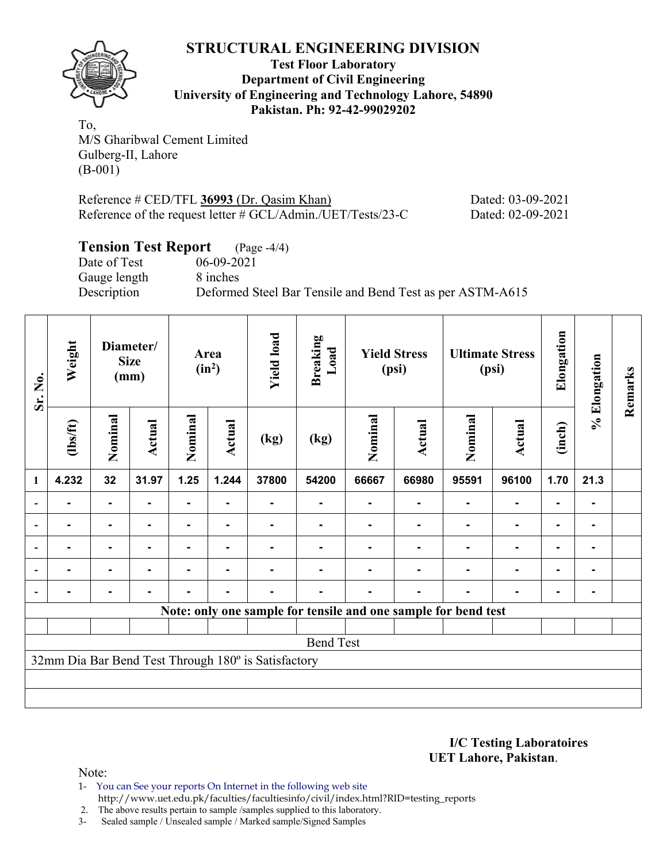

**Test Floor Laboratory Department of Civil Engineering University of Engineering and Technology Lahore, 54890 Pakistan. Ph: 92-42-99029202** 

To, M/S Gharibwal Cement Limited Gulberg-II, Lahore (B-001)

| Reference $\#$ CED/TFL 36993 (Dr. Qasim Khan)                  | Dated: 03-09-2021 |
|----------------------------------------------------------------|-------------------|
| Reference of the request letter $\#$ GCL/Admin./UET/Tests/23-C | Dated: 02-09-2021 |

# **Tension Test Report** (Page -4/4)<br>Date of Test 06-09-2021

Gauge length 8 inches

 $06-09-2021$ Description Deformed Steel Bar Tensile and Bend Test as per ASTM-A615

| Sr. No.        | Weight         |                | Diameter/<br><b>Size</b><br>(mm) |                | Area<br>$(in^2)$ | <b>Yield load</b>                                   | <b>Breaking</b><br>Load |         | <b>Yield Stress</b><br>(psi)                                   |         | <b>Ultimate Stress</b><br>(psi) |                | % Elongation   | Remarks |
|----------------|----------------|----------------|----------------------------------|----------------|------------------|-----------------------------------------------------|-------------------------|---------|----------------------------------------------------------------|---------|---------------------------------|----------------|----------------|---------|
|                | (1bs/ft)       | Nominal        | Actual                           | Nominal        | Actual           | (kg)                                                | (kg)                    | Nominal | Actual                                                         | Nominal | <b>Actual</b>                   | (inch)         |                |         |
| $\mathbf{1}$   | 4.232          | 32             | 31.97                            | 1.25           | 1.244            | 37800                                               | 54200                   | 66667   | 66980                                                          | 95591   | 96100                           | 1.70           | 21.3           |         |
|                |                | -              |                                  |                |                  |                                                     |                         |         |                                                                |         |                                 |                | ۰              |         |
| $\overline{a}$ |                | ۰              |                                  |                |                  |                                                     |                         |         |                                                                |         |                                 | $\blacksquare$ | ۰              |         |
| $\overline{a}$ | -              | ۰              | -                                |                |                  |                                                     |                         |         |                                                                |         | ٠                               | -              | ۰              |         |
|                | $\blacksquare$ | $\blacksquare$ |                                  | ٠              | ۰                |                                                     |                         |         |                                                                |         | ٠                               | $\blacksquare$ | $\blacksquare$ |         |
|                |                | ۰              | -                                | $\blacksquare$ | ۰                |                                                     |                         |         |                                                                |         | $\blacksquare$                  | -              | -              |         |
|                |                |                |                                  |                |                  |                                                     |                         |         | Note: only one sample for tensile and one sample for bend test |         |                                 |                |                |         |
|                |                |                |                                  |                |                  |                                                     |                         |         |                                                                |         |                                 |                |                |         |
|                |                |                |                                  |                |                  |                                                     | <b>Bend Test</b>        |         |                                                                |         |                                 |                |                |         |
|                |                |                |                                  |                |                  | 32mm Dia Bar Bend Test Through 180° is Satisfactory |                         |         |                                                                |         |                                 |                |                |         |
|                |                |                |                                  |                |                  |                                                     |                         |         |                                                                |         |                                 |                |                |         |
|                |                |                |                                  |                |                  |                                                     |                         |         |                                                                |         |                                 |                |                |         |

**I/C Testing Laboratoires UET Lahore, Pakistan**.

Note:

1- You can See your reports On Internet in the following web site http://www.uet.edu.pk/faculties/facultiesinfo/civil/index.html?RID=testing\_reports

2. The above results pertain to sample /samples supplied to this laboratory.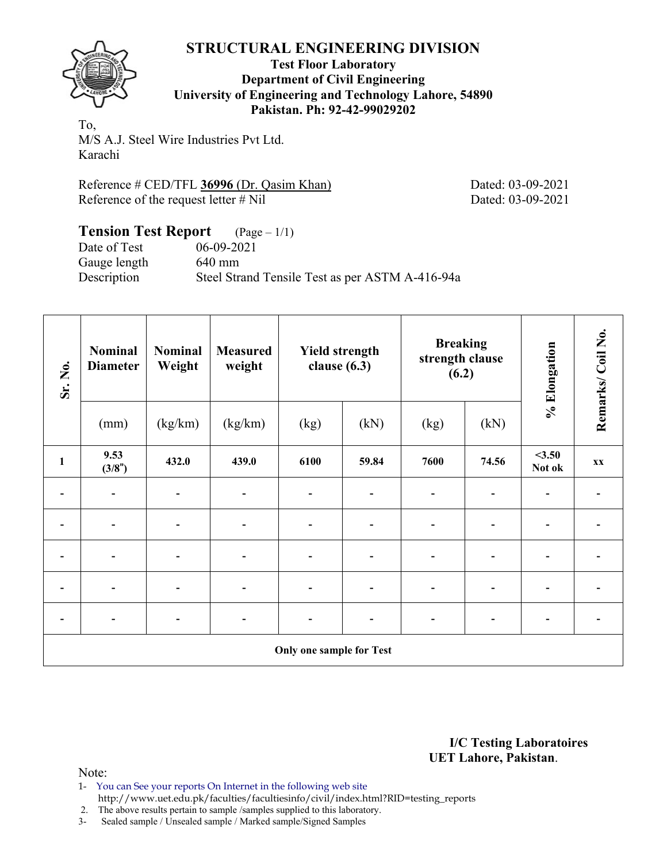

#### **Test Floor Laboratory Department of Civil Engineering University of Engineering and Technology Lahore, 54890 Pakistan. Ph: 92-42-99029202**

To, M/S A.J. Steel Wire Industries Pvt Ltd. Karachi

Reference # CED/TFL **36996** (Dr. Qasim Khan) Dated: 03-09-2021 Reference of the request letter # Nil Dated: 03-09-2021

#### **Tension Test Report** (Page – 1/1) Date of Test 06-09-2021 Gauge length 640 mm Description Steel Strand Tensile Test as per ASTM A-416-94a

| Sr. No.        | <b>Nominal</b><br><b>Diameter</b> | <b>Nominal</b><br>Weight | <b>Measured</b><br>weight | <b>Yield strength</b><br>clause $(6.3)$ |                          | <b>Breaking</b><br>strength clause<br>(6.2) |       | % Elongation             | Remarks/Coil No. |
|----------------|-----------------------------------|--------------------------|---------------------------|-----------------------------------------|--------------------------|---------------------------------------------|-------|--------------------------|------------------|
|                | (mm)                              | (kg/km)                  | (kg/km)                   | (kg)                                    | (kN)                     | (kg)                                        | (kN)  |                          |                  |
| $\mathbf{1}$   | 9.53<br>(3/8")                    | 432.0                    | 439.0                     | 6100                                    | 59.84                    | 7600                                        | 74.56 | $<$ 3.50<br>Not ok       | <b>XX</b>        |
|                |                                   | $\blacksquare$           |                           | $\overline{\phantom{a}}$                |                          |                                             |       |                          |                  |
|                |                                   | $\blacksquare$           |                           | -                                       |                          |                                             |       | $\blacksquare$           |                  |
| -              |                                   | $\overline{a}$           |                           | $\overline{\phantom{a}}$                | $\overline{\phantom{0}}$ |                                             |       | $\blacksquare$           |                  |
| $\overline{a}$ |                                   | $\overline{\phantom{a}}$ |                           | $\overline{\phantom{a}}$                | $\overline{\phantom{0}}$ |                                             |       |                          |                  |
|                |                                   |                          |                           | $\overline{\phantom{0}}$                |                          |                                             |       | $\overline{\phantom{0}}$ |                  |
|                |                                   |                          |                           | <b>Only one sample for Test</b>         |                          |                                             |       |                          |                  |

**I/C Testing Laboratoires UET Lahore, Pakistan**.

Note:

1- You can See your reports On Internet in the following web site http://www.uet.edu.pk/faculties/facultiesinfo/civil/index.html?RID=testing\_reports

2. The above results pertain to sample /samples supplied to this laboratory.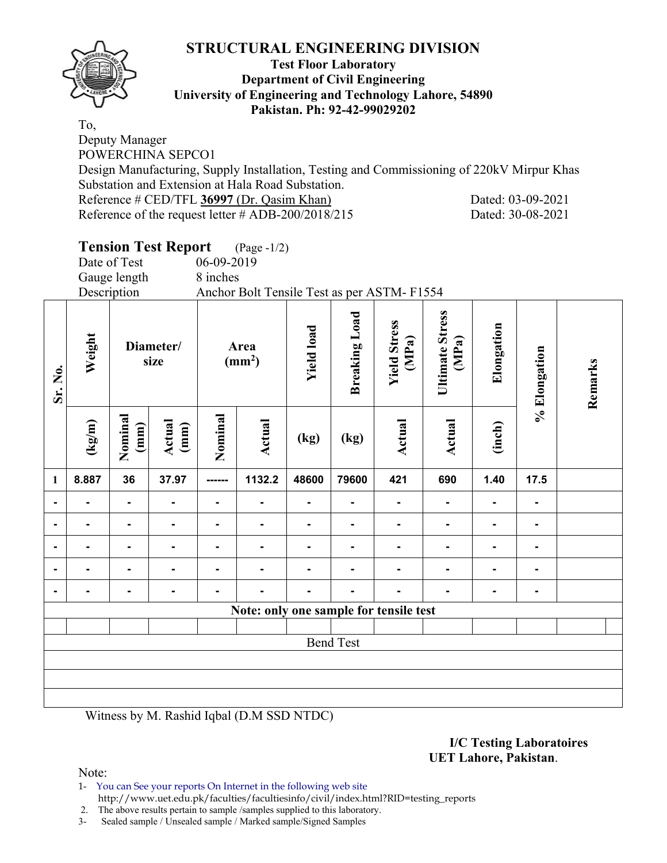

#### **Test Floor Laboratory Department of Civil Engineering University of Engineering and Technology Lahore, 54890 Pakistan. Ph: 92-42-99029202**

To, Deputy Manager POWERCHINA SEPCO1

Design Manufacturing, Supply Installation, Testing and Commissioning of 220kV Mirpur Khas Substation and Extension at Hala Road Substation.

Reference # CED/TFL **36997** (Dr. Qasim Khan) Dated: 03-09-2021 Reference of the request letter # ADB-200/2018/215 Dated: 30-08-2021

# **Tension Test Report** (Page -1/2)

|                |        | Date of Test              |                   | 06-09-2019     |                                            |                   |                      |                              |                          |            |                |         |
|----------------|--------|---------------------------|-------------------|----------------|--------------------------------------------|-------------------|----------------------|------------------------------|--------------------------|------------|----------------|---------|
|                |        | Gauge length              |                   | 8 inches       |                                            |                   |                      |                              |                          |            |                |         |
|                |        | Description               |                   |                | Anchor Bolt Tensile Test as per ASTM-F1554 |                   |                      |                              |                          |            |                |         |
| Sr. No.        | Weight |                           | Diameter/<br>size |                | Area<br>$\text{(mm}^2)$                    | <b>Yield load</b> | <b>Breaking Load</b> | <b>Yield Stress</b><br>(MPa) | Ultimate Stress<br>(MPa) | Elongation | % Elongation   | Remarks |
|                | (kg/m) | Nominal<br>$\binom{m}{n}$ | Actual<br>(mm)    | Nominal        | <b>Actual</b>                              | (kg)              | (kg)                 | <b>Actual</b>                | Actual                   | (inch)     |                |         |
| $\mathbf{1}$   | 8.887  | 36                        | 37.97             | ------         | 1132.2                                     | 48600             | 79600                | 421                          | 690                      | 1.40       | 17.5           |         |
| $\blacksquare$ |        | $\blacksquare$            | $\blacksquare$    | $\blacksquare$ | $\blacksquare$                             | Ξ.                | $\blacksquare$       | $\blacksquare$               | $\blacksquare$           |            | $\blacksquare$ |         |
| $\blacksquare$ |        | $\blacksquare$            |                   |                |                                            |                   |                      |                              |                          |            | $\blacksquare$ |         |
| $\blacksquare$ |        |                           |                   |                |                                            |                   |                      |                              |                          |            |                |         |
| $\blacksquare$ |        |                           |                   |                |                                            |                   |                      |                              |                          |            |                |         |
|                |        |                           |                   |                |                                            |                   |                      |                              |                          |            |                |         |
|                |        |                           |                   |                | Note: only one sample for tensile test     |                   |                      |                              |                          |            |                |         |
|                |        |                           |                   |                |                                            |                   |                      |                              |                          |            |                |         |
|                |        |                           |                   |                |                                            |                   | <b>Bend Test</b>     |                              |                          |            |                |         |
|                |        |                           |                   |                |                                            |                   |                      |                              |                          |            |                |         |
|                |        |                           |                   |                |                                            |                   |                      |                              |                          |            |                |         |
|                |        |                           |                   |                |                                            |                   |                      |                              |                          |            |                |         |

Witness by M. Rashid Iqbal (D.M SSD NTDC)

#### **I/C Testing Laboratoires UET Lahore, Pakistan**.

Note:

1- You can See your reports On Internet in the following web site http://www.uet.edu.pk/faculties/facultiesinfo/civil/index.html?RID=testing\_reports

2. The above results pertain to sample /samples supplied to this laboratory.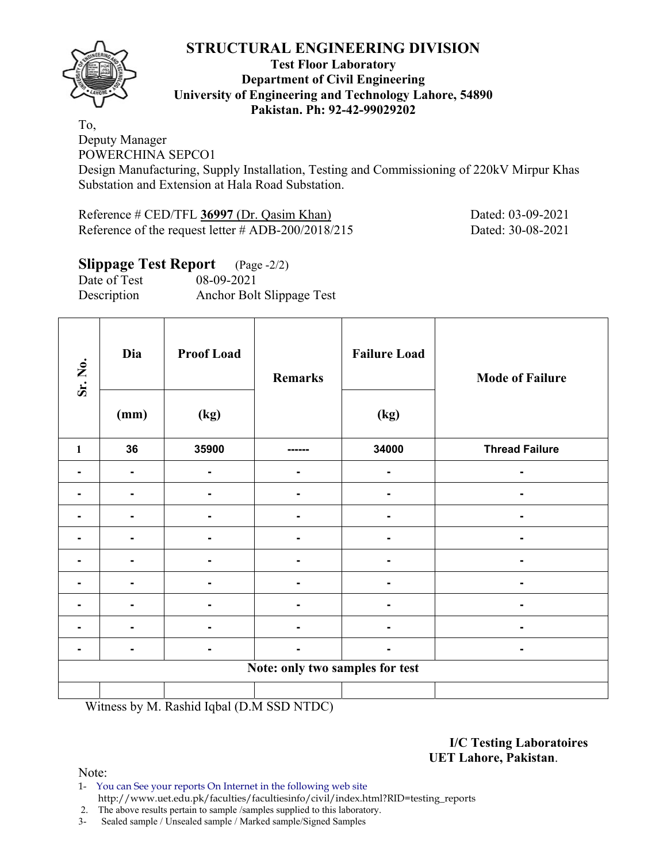

#### **Test Floor Laboratory Department of Civil Engineering University of Engineering and Technology Lahore, 54890 Pakistan. Ph: 92-42-99029202**

To, Deputy Manager POWERCHINA SEPCO1

Design Manufacturing, Supply Installation, Testing and Commissioning of 220kV Mirpur Khas Substation and Extension at Hala Road Substation.

Reference # CED/TFL **36997** (Dr. Qasim Khan) Dated: 03-09-2021 Reference of the request letter # ADB-200/2018/215 Dated: 30-08-2021

#### **Slippage Test Report** (Page -2/2) Date of Test 08-09-2021 Description Anchor Bolt Slippage Test

| Sr. No.      | Dia<br>(mm) | <b>Proof Load</b><br>(kg) | <b>Remarks</b>                  | <b>Failure Load</b><br>(kg) | <b>Mode of Failure</b> |
|--------------|-------------|---------------------------|---------------------------------|-----------------------------|------------------------|
| $\mathbf{1}$ | 36          | 35900                     |                                 | 34000                       | <b>Thread Failure</b>  |
|              |             |                           |                                 |                             |                        |
|              |             | -                         | ٠                               | ٠                           | Ξ.                     |
|              |             | -                         | ٠                               | Ξ.                          | -                      |
|              |             | $\blacksquare$            |                                 |                             |                        |
|              |             |                           |                                 |                             |                        |
|              |             |                           |                                 |                             |                        |
|              |             |                           |                                 |                             |                        |
|              |             | -                         |                                 | ۰                           | -                      |
|              |             | -                         |                                 | ٠                           | $\blacksquare$         |
|              |             |                           | Note: only two samples for test |                             |                        |
|              |             |                           |                                 |                             |                        |

Witness by M. Rashid Iqbal (D.M SSD NTDC)

#### **I/C Testing Laboratoires UET Lahore, Pakistan**.

Note:

1- You can See your reports On Internet in the following web site http://www.uet.edu.pk/faculties/facultiesinfo/civil/index.html?RID=testing\_reports

2. The above results pertain to sample /samples supplied to this laboratory.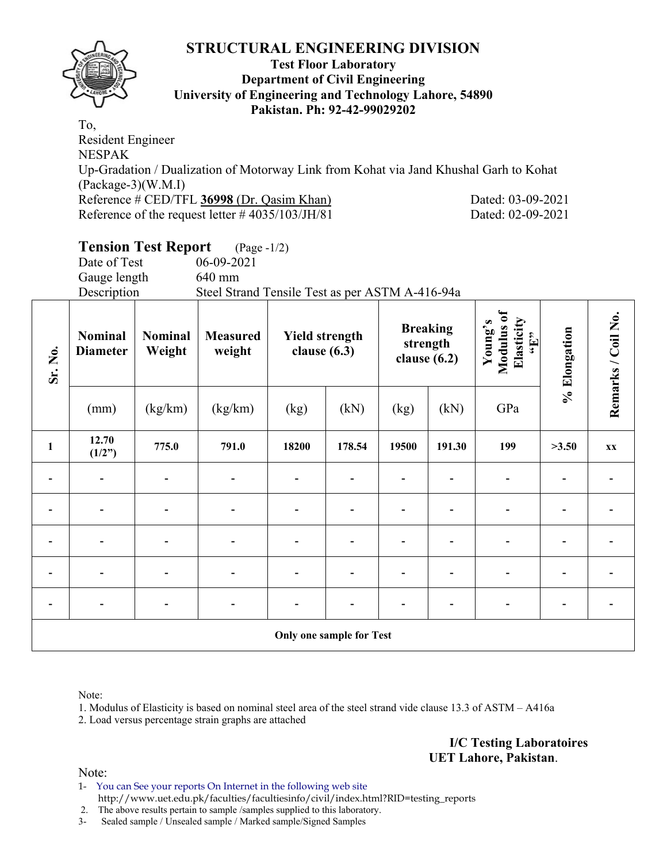

#### **Test Floor Laboratory Department of Civil Engineering University of Engineering and Technology Lahore, 54890 Pakistan. Ph: 92-42-99029202**

To, Resident Engineer NESPAK Up-Gradation / Dualization of Motorway Link from Kohat via Jand Khushal Garh to Kohat (Package-3)(W.M.I) Reference # CED/TFL **36998** (Dr. Qasim Khan) Dated: 03-09-2021 Reference of the request letter # 4035/103/JH/81 Dated: 02-09-2021

# **Tension Test Report** (Page -1/2)

Date of Test 06-09-2021 Gauge length 640 mm

Description Steel Strand Tensile Test as per ASTM A-416-94a

| Sr. No.                  | <b>Nominal</b><br><b>Diameter</b> | <b>Nominal</b><br>Weight | <b>Measured</b><br>weight | <b>Yield strength</b><br>clause $(6.3)$ |                          | <b>Breaking</b><br>strength<br>clause $(6.2)$ |                          | Modulus of<br>Elasticity<br>Young's<br>$\mathbf{f}$ . Here | % Elongation | Remarks / Coil No. |
|--------------------------|-----------------------------------|--------------------------|---------------------------|-----------------------------------------|--------------------------|-----------------------------------------------|--------------------------|------------------------------------------------------------|--------------|--------------------|
|                          | (mm)                              | (kg/km)                  | (kg/km)                   | (kg)                                    | (kN)                     | (kg)                                          | (kN)                     | GPa                                                        |              |                    |
| $\mathbf{1}$             | 12.70<br>(1/2")                   | 775.0                    | 791.0                     | 18200                                   | 178.54                   | 19500                                         | 191.30                   | 199                                                        | >3.50        | <b>XX</b>          |
|                          |                                   |                          |                           |                                         |                          |                                               |                          |                                                            |              |                    |
|                          |                                   |                          |                           |                                         |                          |                                               |                          |                                                            |              |                    |
|                          |                                   |                          |                           |                                         |                          |                                               | -                        |                                                            |              |                    |
|                          |                                   | -                        |                           |                                         |                          |                                               |                          |                                                            |              |                    |
| $\overline{\phantom{a}}$ | $\overline{\phantom{0}}$          | $\overline{\phantom{a}}$ | $\overline{\phantom{0}}$  | $\blacksquare$                          |                          |                                               | $\overline{\phantom{0}}$ | $\overline{\phantom{0}}$                                   |              |                    |
|                          |                                   |                          |                           |                                         | Only one sample for Test |                                               |                          |                                                            |              |                    |

Note:

1. Modulus of Elasticity is based on nominal steel area of the steel strand vide clause 13.3 of ASTM – A416a

2. Load versus percentage strain graphs are attached

**I/C Testing Laboratoires UET Lahore, Pakistan**.

Note:

1- You can See your reports On Internet in the following web site http://www.uet.edu.pk/faculties/facultiesinfo/civil/index.html?RID=testing\_reports

2. The above results pertain to sample /samples supplied to this laboratory.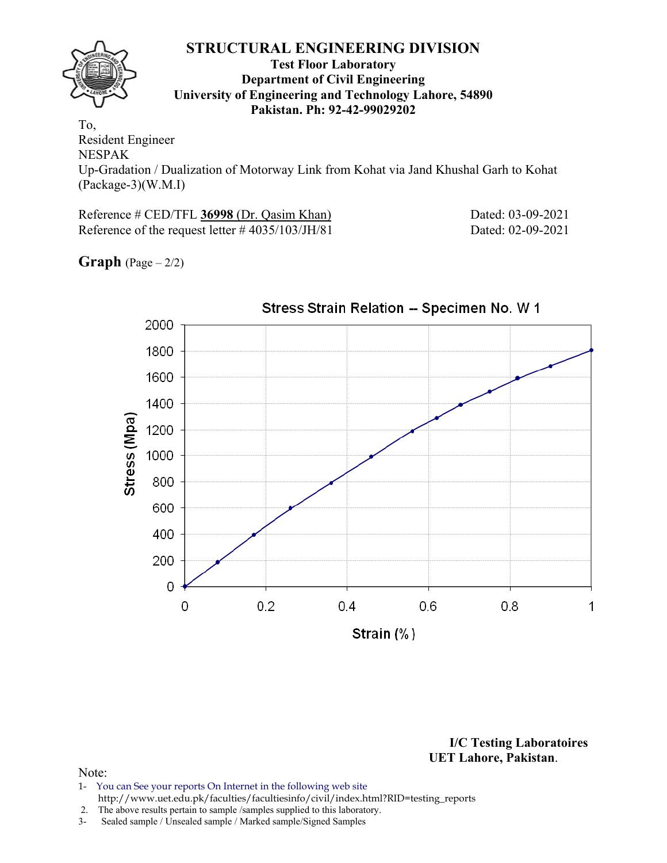#### **Test Floor Laboratory Department of Civil Engineering University of Engineering and Technology Lahore, 54890 Pakistan. Ph: 92-42-99029202**

To, Resident Engineer NESPAK Up-Gradation / Dualization of Motorway Link from Kohat via Jand Khushal Garh to Kohat (Package-3)(W.M.I)

Reference # CED/TFL **36998** (Dr. Qasim Khan) Dated: 03-09-2021 Reference of the request letter # 4035/103/JH/81 Dated: 02-09-2021

**Graph**  $(Page - 2/2)$ 



**I/C Testing Laboratoires UET Lahore, Pakistan**.

- 1- You can See your reports On Internet in the following web site http://www.uet.edu.pk/faculties/facultiesinfo/civil/index.html?RID=testing\_reports
- 2. The above results pertain to sample /samples supplied to this laboratory.
- 3- Sealed sample / Unsealed sample / Marked sample/Signed Samples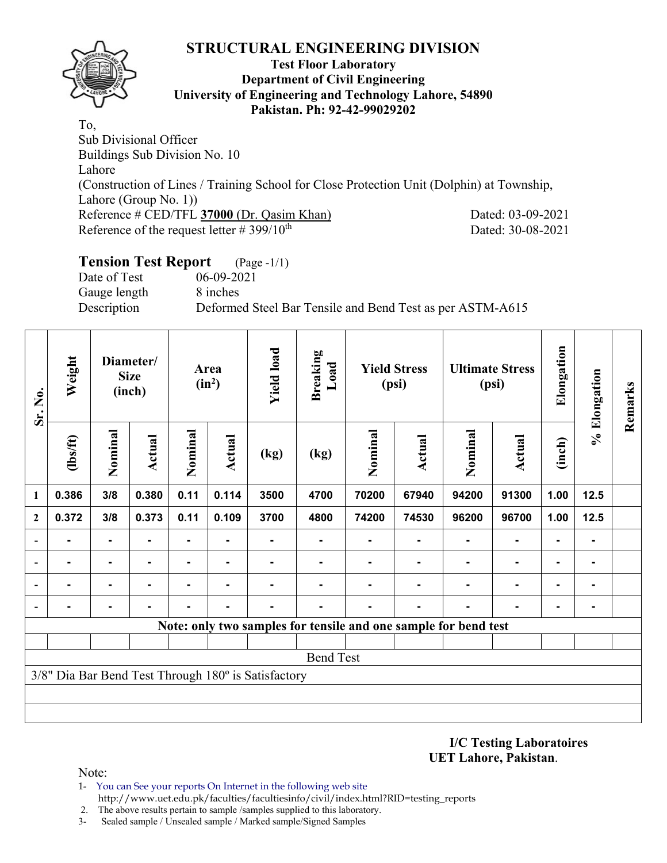

#### **Test Floor Laboratory Department of Civil Engineering University of Engineering and Technology Lahore, 54890 Pakistan. Ph: 92-42-99029202**

To, Sub Divisional Officer Buildings Sub Division No. 10 Lahore (Construction of Lines / Training School for Close Protection Unit (Dolphin) at Township, Lahore (Group No. 1)) Reference # CED/TFL **37000** (Dr. Qasim Khan) Dated: 03-09-2021 Reference of the request letter  $\# 399/10^{th}$  Dated: 30-08-2021

# **Tension Test Report** (Page -1/1)

Date of Test 06-09-2021 Gauge length 8 inches

Description Deformed Steel Bar Tensile and Bend Test as per ASTM-A615

| Sr. No.        | Weight                                                          |                | Diameter/<br><b>Size</b><br>(inch) |         | Area<br>$(in^2)$ | <b>Yield load</b>                                   | <b>Breaking</b><br>Load |         | <b>Yield Stress</b><br>(psi) |                | <b>Ultimate Stress</b><br>(psi) | Elongation     | % Elongation   | Remarks |
|----------------|-----------------------------------------------------------------|----------------|------------------------------------|---------|------------------|-----------------------------------------------------|-------------------------|---------|------------------------------|----------------|---------------------------------|----------------|----------------|---------|
|                | (1bs/ft)                                                        | Nominal        | <b>Actual</b>                      | Nominal | Actual           | (kg)                                                | (kg)                    | Nominal | Actual                       | Nominal        | Actual                          | (inch)         |                |         |
| 1              | 0.386                                                           | 3/8            | 0.380                              | 0.11    | 0.114            | 3500                                                | 4700                    | 70200   | 67940                        | 94200          | 91300                           | 1.00           | 12.5           |         |
| $\overline{2}$ | 0.372                                                           | 3/8            | 0.373                              | 0.11    | 0.109            | 3700                                                | 4800                    | 74200   | 74530                        | 96200          | 96700                           | 1.00           | $12.5$         |         |
|                |                                                                 | $\blacksquare$ |                                    | ۰       | $\blacksquare$   |                                                     | ۰                       |         |                              | $\blacksquare$ | $\blacksquare$                  |                | $\blacksquare$ |         |
|                |                                                                 | ۰              |                                    |         | $\blacksquare$   |                                                     |                         |         |                              |                |                                 | $\blacksquare$ | -              |         |
|                |                                                                 | $\blacksquare$ |                                    | ۰.      |                  |                                                     |                         |         |                              |                |                                 | -              | ۰              |         |
|                |                                                                 |                |                                    |         |                  |                                                     |                         |         |                              | -              |                                 | $\blacksquare$ | $\blacksquare$ |         |
|                | Note: only two samples for tensile and one sample for bend test |                |                                    |         |                  |                                                     |                         |         |                              |                |                                 |                |                |         |
|                |                                                                 |                |                                    |         |                  |                                                     |                         |         |                              |                |                                 |                |                |         |
|                | <b>Bend Test</b>                                                |                |                                    |         |                  |                                                     |                         |         |                              |                |                                 |                |                |         |
|                |                                                                 |                |                                    |         |                  | 3/8" Dia Bar Bend Test Through 180° is Satisfactory |                         |         |                              |                |                                 |                |                |         |
|                |                                                                 |                |                                    |         |                  |                                                     |                         |         |                              |                |                                 |                |                |         |
|                |                                                                 |                |                                    |         |                  |                                                     |                         |         |                              |                |                                 |                |                |         |

**I/C Testing Laboratoires UET Lahore, Pakistan**.

- 1- You can See your reports On Internet in the following web site http://www.uet.edu.pk/faculties/facultiesinfo/civil/index.html?RID=testing\_reports
- 2. The above results pertain to sample /samples supplied to this laboratory.
- 3- Sealed sample / Unsealed sample / Marked sample/Signed Samples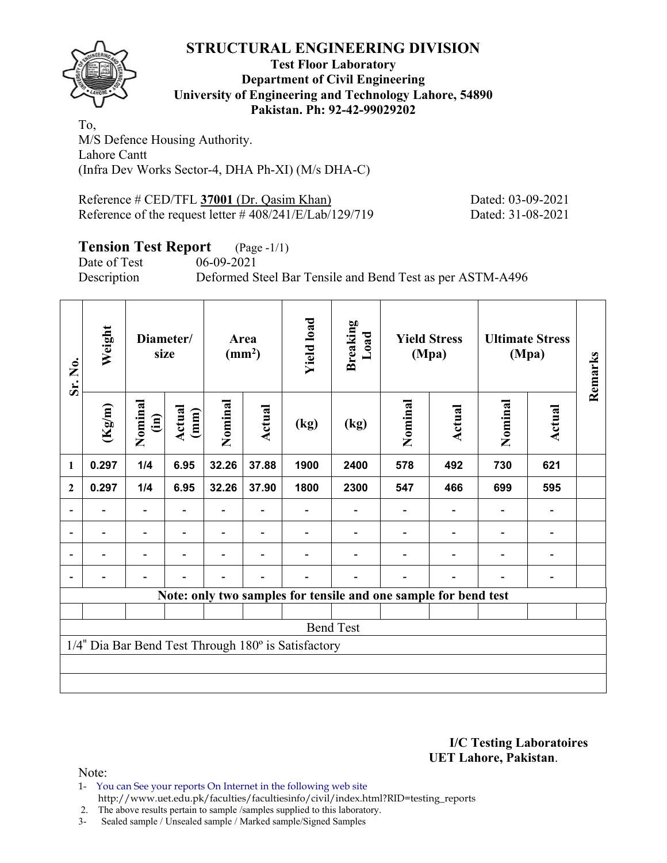

#### **Test Floor Laboratory Department of Civil Engineering University of Engineering and Technology Lahore, 54890 Pakistan. Ph: 92-42-99029202**

To, M/S Defence Housing Authority. Lahore Cantt (Infra Dev Works Sector-4, DHA Ph-XI) (M/s DHA-C)

Reference # CED/TFL 37001 (Dr. Qasim Khan) Dated: 03-09-2021 Reference of the request letter # 408/241/E/Lab/129/719 Dated: 31-08-2021

# **Tension Test Report** (Page -1/1)

Date of Test 06-09-2021

Description Deformed Steel Bar Tensile and Bend Test as per ASTM-A496

| Sr. No.        | Weight                                                          |                          | Diameter/<br>size |         | Area<br>$\text{ (mm}^2\text{)}$ | <b>Yield load</b>                                   | Breaking<br>Load |         | <b>Yield Stress</b><br>(Mpa) |         | <b>Ultimate Stress</b><br>(Mpa) | Remarks |
|----------------|-----------------------------------------------------------------|--------------------------|-------------------|---------|---------------------------------|-----------------------------------------------------|------------------|---------|------------------------------|---------|---------------------------------|---------|
|                | (Kg/m)                                                          | Nominal<br>$\widehat{E}$ | Actual<br>(mm)    | Nominal | Actual                          | (kg)                                                | (kg)             | Nominal | Actual                       | Nominal | <b>Actual</b>                   |         |
| 1              | 0.297                                                           | 1/4                      | 6.95              | 32.26   | 37.88                           | 1900                                                | 2400             | 578     | 492                          | 730     | 621                             |         |
| $\mathbf{2}$   | 0.297                                                           | 1/4                      | 6.95              | 32.26   | 37.90                           | 1800                                                | 2300             | 547     | 466                          | 699     | 595                             |         |
|                |                                                                 |                          |                   |         |                                 |                                                     |                  |         |                              |         |                                 |         |
| $\blacksquare$ |                                                                 |                          |                   |         |                                 |                                                     | -                |         |                              |         | -                               |         |
|                |                                                                 |                          |                   |         |                                 |                                                     |                  |         |                              |         |                                 |         |
|                |                                                                 |                          | Ξ.                |         |                                 |                                                     | ۰                |         |                              |         |                                 |         |
|                | Note: only two samples for tensile and one sample for bend test |                          |                   |         |                                 |                                                     |                  |         |                              |         |                                 |         |
|                |                                                                 |                          |                   |         |                                 |                                                     |                  |         |                              |         |                                 |         |
|                | <b>Bend Test</b>                                                |                          |                   |         |                                 |                                                     |                  |         |                              |         |                                 |         |
|                |                                                                 |                          |                   |         |                                 | 1/4" Dia Bar Bend Test Through 180° is Satisfactory |                  |         |                              |         |                                 |         |
|                |                                                                 |                          |                   |         |                                 |                                                     |                  |         |                              |         |                                 |         |
|                |                                                                 |                          |                   |         |                                 |                                                     |                  |         |                              |         |                                 |         |

**I/C Testing Laboratoires UET Lahore, Pakistan**.

Note:

1- You can See your reports On Internet in the following web site http://www.uet.edu.pk/faculties/facultiesinfo/civil/index.html?RID=testing\_reports

2. The above results pertain to sample /samples supplied to this laboratory.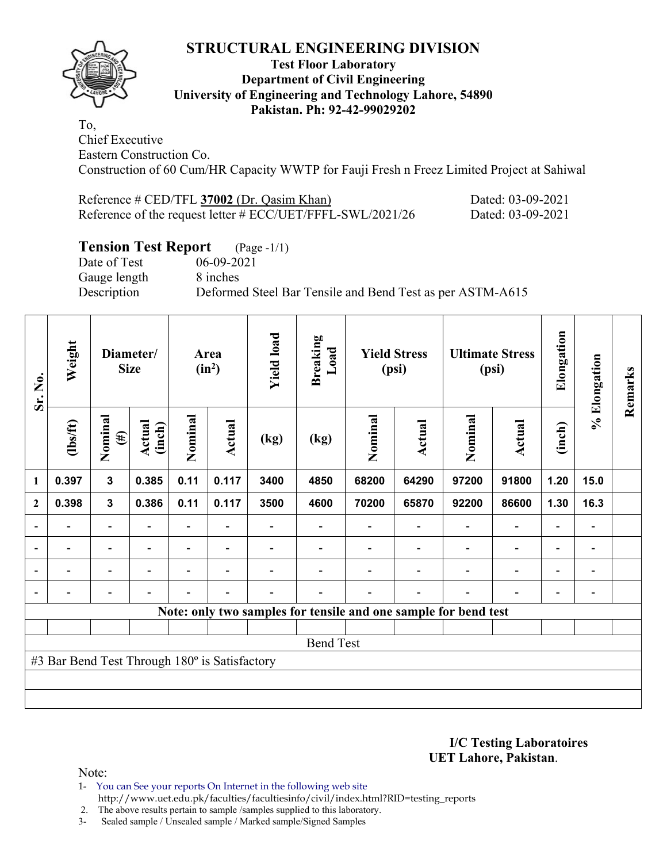

#### **Test Floor Laboratory Department of Civil Engineering University of Engineering and Technology Lahore, 54890 Pakistan. Ph: 92-42-99029202**

To, Chief Executive Eastern Construction Co. Construction of 60 Cum/HR Capacity WWTP for Fauji Fresh n Freez Limited Project at Sahiwal

| Reference $\#$ CED/TFL 37002 (Dr. Qasim Khan)              | Dated: 03-09-2021 |
|------------------------------------------------------------|-------------------|
| Reference of the request letter # ECC/UET/FFFL-SWL/2021/26 | Dated: 03-09-2021 |

# **Tension Test Report** (Page -1/1)

Date of Test 06-09-2021 Gauge length 8 inches

Description Deformed Steel Bar Tensile and Bend Test as per ASTM-A615

| Sr. No.        | Weight                                                          |                          | Diameter/<br><b>Size</b> |                          | Area<br>$(in^2)$         | <b>Yield load</b>        | <b>Breaking</b><br>Load |         | <b>Yield Stress</b><br>(psi) |                          | <b>Ultimate Stress</b><br>(psi) | Elongation               | % Elongation                 | Remarks |
|----------------|-----------------------------------------------------------------|--------------------------|--------------------------|--------------------------|--------------------------|--------------------------|-------------------------|---------|------------------------------|--------------------------|---------------------------------|--------------------------|------------------------------|---------|
|                | (1bs/ft)                                                        | Nominal<br>$(\#)$        | Actual<br>(inch)         | Nominal                  | Actual                   | (kg)                     | (kg)                    | Nominal | Actual                       | Nominal                  | <b>Actual</b>                   | (inch)                   |                              |         |
| 1              | 0.397                                                           | $\mathbf{3}$             | 0.385                    | 0.11                     | 0.117                    | 3400                     | 4850                    | 68200   | 64290                        | 97200                    | 91800                           | 1.20                     | 15.0                         |         |
| $\mathbf{2}$   | 0.398                                                           | $\mathbf{3}$             | 0.386                    | 0.11                     | 0.117                    | 3500                     | 4600                    | 70200   | 65870                        | 92200                    | 86600                           | 1.30                     | 16.3                         |         |
|                |                                                                 | $\overline{\phantom{0}}$ |                          |                          |                          |                          |                         |         |                              |                          | $\qquad \qquad \blacksquare$    | $\overline{a}$           |                              |         |
| $\blacksquare$ | $\overline{\phantom{0}}$                                        | $\overline{\phantom{a}}$ | $\overline{\phantom{0}}$ | $\overline{\phantom{0}}$ | $\blacksquare$           |                          |                         |         | $\blacksquare$               | $\blacksquare$           | $\overline{a}$                  | $\overline{\phantom{a}}$ | $\blacksquare$               |         |
|                | $\overline{\phantom{0}}$                                        | $\overline{\phantom{0}}$ |                          | $\blacksquare$           | $\overline{\phantom{0}}$ |                          |                         |         | $\overline{\phantom{0}}$     | $\overline{\phantom{0}}$ | $\overline{a}$                  | $\overline{\phantom{0}}$ | $\qquad \qquad \blacksquare$ |         |
|                | $\overline{\phantom{0}}$                                        | $\overline{\phantom{a}}$ |                          | $\blacksquare$           | $\blacksquare$           | $\overline{\phantom{0}}$ | $\blacksquare$          |         | $\blacksquare$               | $\blacksquare$           | $\overline{a}$                  | $\overline{\phantom{a}}$ | $\qquad \qquad \blacksquare$ |         |
|                | Note: only two samples for tensile and one sample for bend test |                          |                          |                          |                          |                          |                         |         |                              |                          |                                 |                          |                              |         |
|                |                                                                 |                          |                          |                          |                          |                          |                         |         |                              |                          |                                 |                          |                              |         |
|                | <b>Bend Test</b>                                                |                          |                          |                          |                          |                          |                         |         |                              |                          |                                 |                          |                              |         |
|                | #3 Bar Bend Test Through 180° is Satisfactory                   |                          |                          |                          |                          |                          |                         |         |                              |                          |                                 |                          |                              |         |
|                |                                                                 |                          |                          |                          |                          |                          |                         |         |                              |                          |                                 |                          |                              |         |
|                |                                                                 |                          |                          |                          |                          |                          |                         |         |                              |                          |                                 |                          |                              |         |

**I/C Testing Laboratoires UET Lahore, Pakistan**.

- 1- You can See your reports On Internet in the following web site http://www.uet.edu.pk/faculties/facultiesinfo/civil/index.html?RID=testing\_reports
- 2. The above results pertain to sample /samples supplied to this laboratory.
- 3- Sealed sample / Unsealed sample / Marked sample/Signed Samples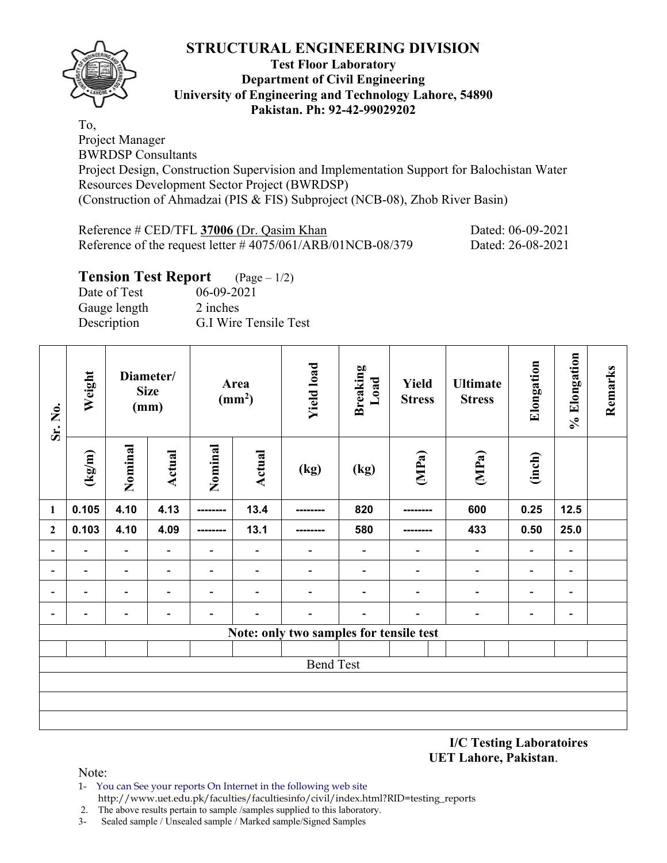

#### **Test Floor Laboratory Department of Civil Engineering University of Engineering and Technology Lahore, 54890 Pakistan. Ph: 92-42-99029202**

To, Project Manager BWRDSP Consultants Project Design, Construction Supervision and Implementation Support for Balochistan Water Resources Development Sector Project (BWRDSP) (Construction of Ahmadzai (PIS & FIS) Subproject (NCB-08), Zhob River Basin)

| Reference # CED/TFL 37006 (Dr. Qasim Khan                     | Dated: 06-09-2021 |
|---------------------------------------------------------------|-------------------|
| Reference of the request letter $\#4075/061/ARB/01NCB-08/379$ | Dated: 26-08-2021 |

# **Tension Test Report** (Page – 1/2)

Date of Test 06-09-2021 Gauge length 2 inches Description G.I Wire Tensile Test

| Sr. No.                  | Weight                                  |                          | Diameter/<br><b>Size</b><br>(mm) |                          | Area<br>(mm <sup>2</sup> ) | <b>Yield load</b> | <b>Breaking</b><br>Load  | <b>Yield</b><br><b>Stress</b> | <b>Ultimate</b><br><b>Stress</b> | Elongation                   | % Elongation                 | Remarks |
|--------------------------|-----------------------------------------|--------------------------|----------------------------------|--------------------------|----------------------------|-------------------|--------------------------|-------------------------------|----------------------------------|------------------------------|------------------------------|---------|
|                          | $({\rm kg/m})$                          | Nominal                  | Actual                           | Nominal                  | <b>Actual</b>              | (kg)              | (kg)                     | (MPa)                         | (MPa)                            | (inch)                       |                              |         |
| $\mathbf{1}$             | 0.105                                   | 4.10                     | 4.13                             | ---------                | 13.4                       |                   | 820                      |                               | 600                              | 0.25                         | 12.5                         |         |
| $\overline{2}$           | 0.103                                   | 4.10                     | 4.09                             | --------                 | 13.1                       |                   | 580                      |                               | 433                              | 0.50                         | 25.0                         |         |
| $\overline{\phantom{a}}$ | $\overline{\phantom{a}}$                | $\overline{\phantom{a}}$ |                                  | $\overline{\phantom{0}}$ |                            | -                 | $\overline{\phantom{a}}$ | $\overline{a}$                | $\blacksquare$                   | $\qquad \qquad \blacksquare$ | $\overline{\phantom{a}}$     |         |
| -                        | $\overline{\phantom{a}}$                | $\overline{\phantom{a}}$ | $\overline{\phantom{a}}$         | -                        |                            | $\blacksquare$    | $\overline{\phantom{a}}$ | $\overline{\phantom{a}}$      | $\blacksquare$                   | $\qquad \qquad \blacksquare$ | $\overline{\phantom{a}}$     |         |
| $\overline{\phantom{0}}$ | $\overline{\phantom{a}}$                | $\overline{\phantom{0}}$ | $\overline{\phantom{0}}$         | $\overline{\phantom{0}}$ |                            | -                 | $\overline{\phantom{a}}$ | $\blacksquare$                | $\overline{\phantom{a}}$         | -                            | $\qquad \qquad \blacksquare$ |         |
| $\overline{\phantom{a}}$ | $\qquad \qquad \blacksquare$            | $\blacksquare$           | $\overline{\phantom{0}}$         | -                        |                            | -                 |                          | $\overline{\phantom{0}}$      | $\qquad \qquad \blacksquare$     | $\qquad \qquad \blacksquare$ | $\overline{\phantom{a}}$     |         |
|                          | Note: only two samples for tensile test |                          |                                  |                          |                            |                   |                          |                               |                                  |                              |                              |         |
|                          |                                         |                          |                                  |                          |                            |                   |                          |                               |                                  |                              |                              |         |
|                          |                                         |                          |                                  |                          |                            | <b>Bend Test</b>  |                          |                               |                                  |                              |                              |         |
|                          |                                         |                          |                                  |                          |                            |                   |                          |                               |                                  |                              |                              |         |
|                          |                                         |                          |                                  |                          |                            |                   |                          |                               |                                  |                              |                              |         |
|                          |                                         |                          |                                  |                          |                            |                   |                          |                               |                                  |                              |                              |         |

**I/C Testing Laboratoires UET Lahore, Pakistan**.

- 1- You can See your reports On Internet in the following web site http://www.uet.edu.pk/faculties/facultiesinfo/civil/index.html?RID=testing\_reports
- 2. The above results pertain to sample /samples supplied to this laboratory.
- 3- Sealed sample / Unsealed sample / Marked sample/Signed Samples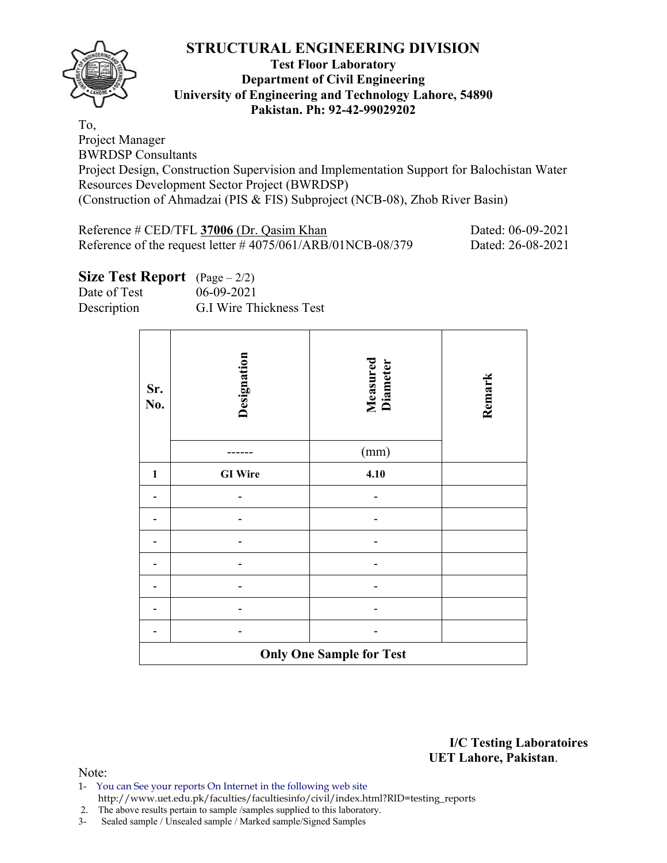

#### **Test Floor Laboratory Department of Civil Engineering University of Engineering and Technology Lahore, 54890 Pakistan. Ph: 92-42-99029202**

To, Project Manager BWRDSP Consultants

Project Design, Construction Supervision and Implementation Support for Balochistan Water Resources Development Sector Project (BWRDSP) (Construction of Ahmadzai (PIS & FIS) Subproject (NCB-08), Zhob River Basin)

| Reference # CED/TFL 37006 (Dr. Qasim Khan                     | Dated: 06-09-2021 |
|---------------------------------------------------------------|-------------------|
| Reference of the request letter $\#4075/061/ARB/01NCB-08/379$ | Dated: 26-08-2021 |

| <b>Size Test Report</b> $(Page - 2/2)$ |  |  |  |  |
|----------------------------------------|--|--|--|--|
|----------------------------------------|--|--|--|--|

| Date of Test | 06-09-2021              |
|--------------|-------------------------|
| Description  | G.I Wire Thickness Test |

| Sr.<br>No.   | Designation    | <b>Measured</b><br>Diameter     | Remark |
|--------------|----------------|---------------------------------|--------|
|              |                | (mm)                            |        |
| $\mathbf{1}$ | <b>GI</b> Wire | 4.10                            |        |
|              |                |                                 |        |
|              |                |                                 |        |
|              |                |                                 |        |
|              |                |                                 |        |
|              |                |                                 |        |
|              |                |                                 |        |
|              |                |                                 |        |
|              |                | <b>Only One Sample for Test</b> |        |

**I/C Testing Laboratoires UET Lahore, Pakistan**.

- 1- You can See your reports On Internet in the following web site http://www.uet.edu.pk/faculties/facultiesinfo/civil/index.html?RID=testing\_reports
- 2. The above results pertain to sample /samples supplied to this laboratory.
- 3- Sealed sample / Unsealed sample / Marked sample/Signed Samples